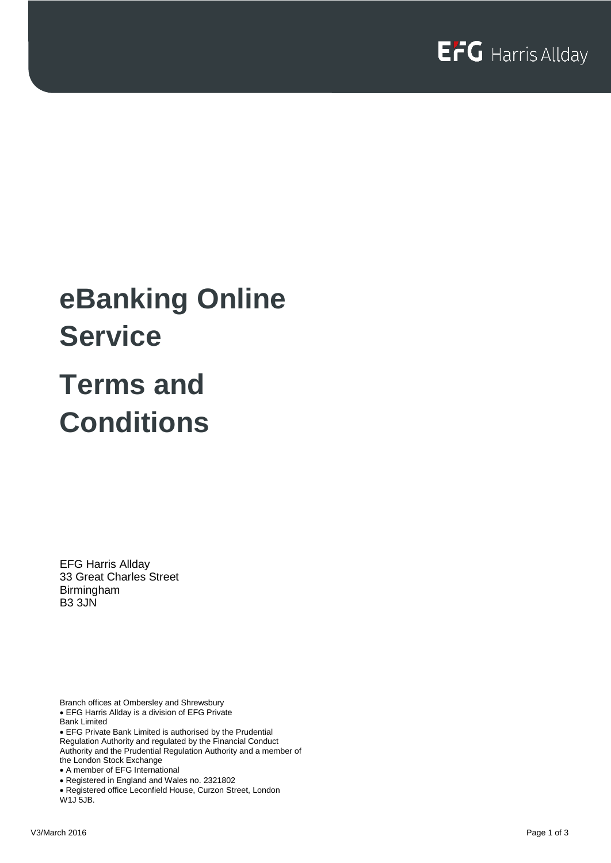# **eBanking Online Service Terms and Conditions**

EFG Harris Allday 33 Great Charles Street Birmingham B3 3JN

Branch offices at Ombersley and Shrewsbury • EFG Harris Allday is a division of EFG Private Bank Limited

• EFG Private Bank Limited is authorised by the Prudential Regulation Authority and regulated by the Financial Conduct Authority and the Prudential Regulation Authority and a member of the London Stock Exchange • A member of EFG International

• Registered in England and Wales no. 2321802

• Registered office Leconfield House, Curzon Street, London W1J 5JB.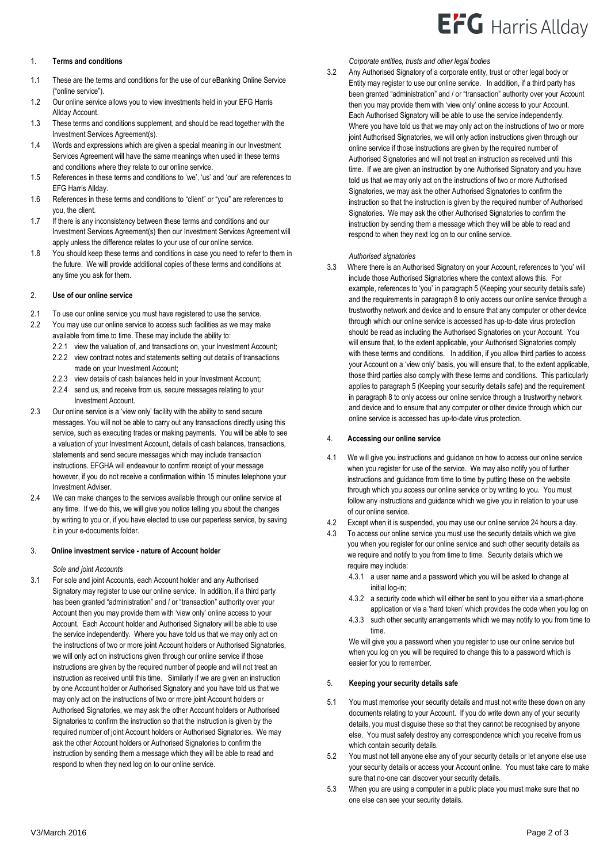#### 1. **Terms and conditions**

- 1.1 These are the terms and conditions for the use of our eBanking Online Service ("online service").
- 1.2 Our online service allows you to view investments held in your EFG Harris Allday Account.
- 1.3 These terms and conditions supplement, and should be read together with the Investment Services Agreement(s).
- 1.4 Words and expressions which are given a special meaning in our Investment Services Agreement will have the same meanings when used in these terms and conditions where they relate to our online service.
- 1.5 References in these terms and conditions to 'we', 'us' and 'our' are references to EFG Harris Allday.
- 1.6 References in these terms and conditions to "client" or "you" are references to you, the client.
- 1.7 If there is any inconsistency between these terms and conditions and our Investment Services Agreement(s) then our Investment Services Agreement will apply unless the difference relates to your use of our online service.
- 1.8 You should keep these terms and conditions in case you need to refer to them in the future. We will provide additional copies of these terms and conditions at any time you ask for them.

#### 2. **Use of our online service**

- 2.1 To use our online service you must have registered to use the service.
- 2.2 You may use our online service to access such facilities as we may make available from time to time. These may include the ability to:
	- 2.2.1 view the valuation of, and transactions on, your Investment Account;
	- 2.2.2 view contract notes and statements setting out details of transactions made on your Investment Account;
	- 2.2.3 view details of cash balances held in your Investment Account;
	- 2.2.4 send us, and receive from us, secure messages relating to your Investment Account.
- 2.3 Our online service is a 'view only' facility with the ability to send secure messages. You will not be able to carry out any transactions directly using this service, such as executing trades or making payments. You will be able to see a valuation of your Investment Account, details of cash balances, transactions, statements and send secure messages which may include transaction instructions. EFGHA will endeavour to confirm receipt of your message however, if you do not receive a confirmation within 15 minutes telephone your Investment Adviser.
- 2.4 We can make changes to the services available through our online service at any time. If we do this, we will give you notice telling you about the changes by writing to you or, if you have elected to use our paperless service, by saving it in your e-documents folder.

#### 3. **Online investment service - nature of Account holder**

#### *Sole and joint Accounts*

3.1 For sole and joint Accounts, each Account holder and any Authorised Signatory may register to use our online service. In addition, if a third party has been granted "administration" and / or "transaction" authority over your Account then you may provide them with 'view only' online access to your Account. Each Account holder and Authorised Signatory will be able to use the service independently. Where you have told us that we may only act on the instructions of two or more joint Account holders or Authorised Signatories, we will only act on instructions given through our online service if those instructions are given by the required number of people and will not treat an instruction as received until this time. Similarly if we are given an instruction by one Account holder or Authorised Signatory and you have told us that we may only act on the instructions of two or more joint Account holders or Authorised Signatories, we may ask the other Account holders or Authorised Signatories to confirm the instruction so that the instruction is given by the required number of joint Account holders or Authorised Signatories. We may ask the other Account holders or Authorised Signatories to confirm the instruction by sending them a message which they will be able to read and respond to when they next log on to our online service.

*Corporate entities, trusts and other legal bodies*

3.2 Any Authorised Signatory of a corporate entity, trust or other legal body or Entity may register to use our online service. In addition, if a third party has been granted "administration" and / or "transaction" authority over your Account then you may provide them with 'view only' online access to your Account. Each Authorised Signatory will be able to use the service independently. Where you have told us that we may only act on the instructions of two or more joint Authorised Signatories, we will only action instructions given through our online service if those instructions are given by the required number of Authorised Signatories and will not treat an instruction as received until this time. If we are given an instruction by one Authorised Signatory and you have told us that we may only act on the instructions of two or more Authorised Signatories, we may ask the other Authorised Signatories to confirm the instruction so that the instruction is given by the required number of Authorised Signatories. We may ask the other Authorised Signatories to confirm the instruction by sending them a message which they will be able to read and respond to when they next log on to our online service.

#### *Authorised signatories*

3.3 Where there is an Authorised Signatory on your Account, references to 'you' will include those Authorised Signatories where the context allows this. For example, references to 'you' in paragraph 5 (Keeping your security details safe) and the requirements in paragraph 8 to only access our online service through a trustworthy network and device and to ensure that any computer or other device through which our online service is accessed has up-to-date virus protection should be read as including the Authorised Signatories on your Account. You will ensure that, to the extent applicable, your Authorised Signatories comply with these terms and conditions. In addition, if you allow third parties to access your Account on a 'view only' basis, you will ensure that, to the extent applicable, those third parties also comply with these terms and conditions. This particularly applies to paragraph 5 (Keeping your security details safe) and the requirement in paragraph 8 to only access our online service through a trustworthy network and device and to ensure that any computer or other device through which our online service is accessed has up-to-date virus protection.

#### 4. **Accessing our online service**

- 4.1 We will give you instructions and guidance on how to access our online service when you register for use of the service. We may also notify you of further instructions and guidance from time to time by putting these on the website through which you access our online service or by writing to you. You must follow any instructions and guidance which we give you in relation to your use of our online service.
- 4.2 Except when it is suspended, you may use our online service 24 hours a day.
- 4.3 To access our online service you must use the security details which we give you when you register for our online service and such other security details as we require and notify to you from time to time. Security details which we require may include:
	- 4.3.1 a user name and a password which you will be asked to change at initial log-in;
	- 4.3.2 a security code which will either be sent to you either via a smart-phone application or via a 'hard token' which provides the code when you log on
	- 4.3.3 such other security arrangements which we may notify to you from time to time.

We will give you a password when you register to use our online service but when you log on you will be required to change this to a password which is easier for you to remember.

#### 5. **Keeping your security details safe**

- 5.1 You must memorise your security details and must not write these down on any documents relating to your Account. If you do write down any of your security details, you must disguise these so that they cannot be recognised by anyone else. You must safely destroy any correspondence which you receive from us which contain security details.
- 5.2 You must not tell anyone else any of your security details or let anyone else use your security details or access your Account online. You must take care to make sure that no-one can discover your security details.
- 5.3 When you are using a computer in a public place you must make sure that no one else can see your security details.

### $EFG$  Harris Alldav